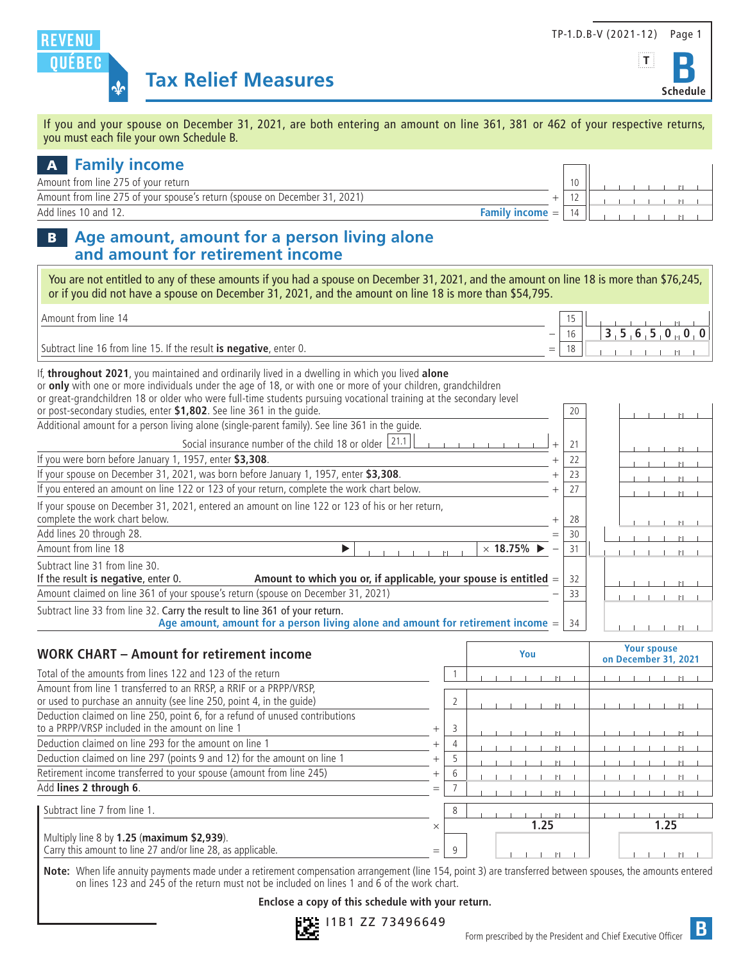

 $\Gamma$  $\overline{\phantom{a}}$ 



If you and your spouse on December 31, 2021, are both entering an amount on line 361, 381 or 462 of your respective returns, you must each file your own Schedule B.

## A **Family income**

| Amount from line 275 of vour return                                        |                |  |  |  |  |
|----------------------------------------------------------------------------|----------------|--|--|--|--|
| Amount from line 275 of your spouse's return (spouse on December 31, 2021) |                |  |  |  |  |
| Add lines 10 and 12.<br><i>income</i><br>$=$                               | 1 <sub>1</sub> |  |  |  |  |
|                                                                            |                |  |  |  |  |

### B **Age amount, amount for a person living alone and amount for retirement income**

You are not entitled to any of these amounts if you had a spouse on December 31, 2021, and the amount on line 18 is more than \$76,245, or if you did not have a spouse on December 31, 2021, and the amount on line 18 is more than \$54,795.

| l Amount from line 14 i                                            |                          |   |
|--------------------------------------------------------------------|--------------------------|---|
|                                                                    | $\overline{\phantom{m}}$ | ╯ |
| Subtract line 16 from line 15. If the result is negative, enter 0. | $=$                      |   |

If, **throughout 2021**, you maintained and ordinarily lived in a dwelling in which you lived **alone** or **only** with one or more individuals under the age of 18, or with one or more of your children, grandchildren or great-grandchildren 18 or older who were full-time students pursuing vocational training at the secondary level or post-secondary studies, enter **\$1,802**. See line 361 in the guide. 20 .

| Additional amount for a person living alone (single-parent family). See line 361 in the quide.                                                                   |   |    |  |  |  |  |
|------------------------------------------------------------------------------------------------------------------------------------------------------------------|---|----|--|--|--|--|
| Social insurance number of the child 18 or older 21.1                                                                                                            |   | 21 |  |  |  |  |
| If you were born before January 1, 1957, enter \$3,308.                                                                                                          |   | 22 |  |  |  |  |
| If your spouse on December 31, 2021, was born before January 1, 1957, enter \$3,308.                                                                             |   | 23 |  |  |  |  |
| If you entered an amount on line 122 or 123 of your return, complete the work chart below.                                                                       |   | 27 |  |  |  |  |
| If your spouse on December 31, 2021, entered an amount on line 122 or 123 of his or her return,<br>complete the work chart below.                                |   | 28 |  |  |  |  |
| Add lines 20 through 28.                                                                                                                                         | = | 30 |  |  |  |  |
| Amount from line 18<br>$\times$ 18.75% $\blacktriangleright$                                                                                                     |   | 31 |  |  |  |  |
| Subtract line 31 from line 30.<br>Amount to which you or, if applicable, your spouse is entitled $=$<br>If the result is negative, enter 0.                      |   | 32 |  |  |  |  |
| Amount claimed on line 361 of your spouse's return (spouse on December 31, 2021)                                                                                 |   | 33 |  |  |  |  |
| Subtract line 33 from line 32. Carry the result to line 361 of your return.<br>Age amount, amount for a person living alone and amount for retirement income $=$ |   | 34 |  |  |  |  |

| <b>WORK CHART - Amount for retirement income</b>                                                                                          |          |   | You  | <b>Your spouse</b><br>on December 31, 2021 |
|-------------------------------------------------------------------------------------------------------------------------------------------|----------|---|------|--------------------------------------------|
| Total of the amounts from lines 122 and 123 of the return                                                                                 |          |   |      |                                            |
| Amount from line 1 transferred to an RRSP, a RRIF or a PRPP/VRSP,<br>or used to purchase an annuity (see line 250, point 4, in the quide) |          |   |      |                                            |
| Deduction claimed on line 250, point 6, for a refund of unused contributions<br>to a PRPP/VRSP included in the amount on line 1           | $^{+}$   | 3 |      |                                            |
| Deduction claimed on line 293 for the amount on line 1                                                                                    | $^{+}$   |   |      |                                            |
| Deduction claimed on line 297 (points 9 and 12) for the amount on line 1                                                                  | $^{+}$   |   |      |                                            |
| Retirement income transferred to your spouse (amount from line 245)                                                                       |          | h |      |                                            |
| Add lines 2 through 6.                                                                                                                    | $=$      |   |      |                                            |
| Subtract line 7 from line 1.                                                                                                              |          | 8 |      |                                            |
|                                                                                                                                           | $\times$ |   | 1.25 | 1.25                                       |
| Multiply line 8 by 1.25 (maximum \$2,939).<br>Carry this amount to line 27 and/or line 28, as applicable.                                 | $=$      | q |      |                                            |

**Note:** When life annuity payments made under a retirement compensation arrangement (line 154, point 3) are transferred between spouses, the amounts entered on lines 123 and 245 of the return must not be included on lines 1 and 6 of the work chart.

#### **Enclose a copy of this schedule with your return.**